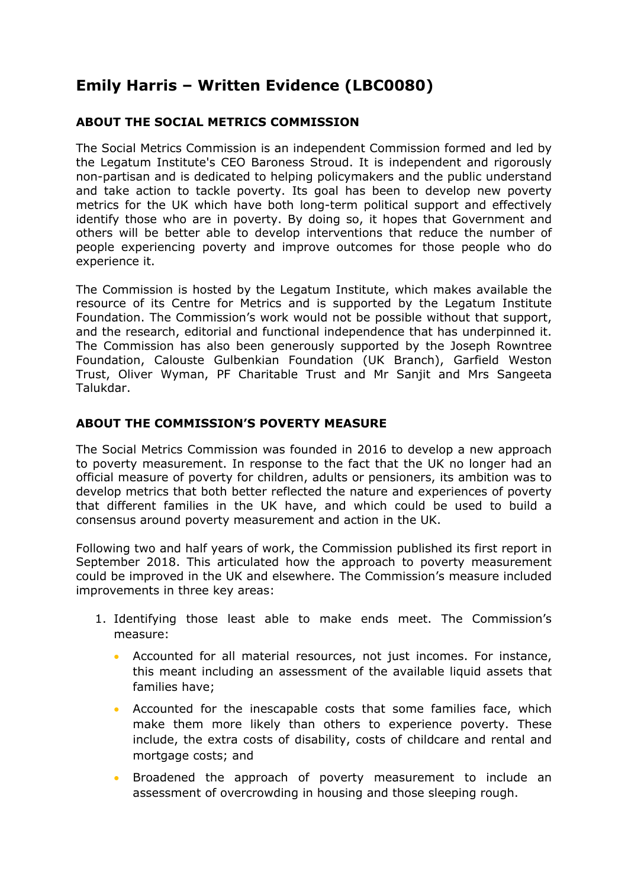# **Emily Harris – Written Evidence (LBC0080)**

# **ABOUT THE SOCIAL METRICS COMMISSION**

The Social Metrics Commission is an independent Commission formed and led by the Legatum Institute's CEO Baroness Stroud. It is independent and rigorously non-partisan and is dedicated to helping policymakers and the public understand and take action to tackle poverty. Its goal has been to develop new poverty metrics for the UK which have both long-term political support and effectively identify those who are in poverty. By doing so, it hopes that Government and others will be better able to develop interventions that reduce the number of people experiencing poverty and improve outcomes for those people who do experience it.

The Commission is hosted by the Legatum Institute, which makes available the resource of its Centre for Metrics and is supported by the Legatum Institute Foundation. The Commission's work would not be possible without that support, and the research, editorial and functional independence that has underpinned it. The Commission has also been generously supported by the Joseph Rowntree Foundation, Calouste Gulbenkian Foundation (UK Branch), Garfield Weston Trust, Oliver Wyman, PF Charitable Trust and Mr Sanjit and Mrs Sangeeta Talukdar.

#### **ABOUT THE COMMISSION'S POVERTY MEASURE**

The Social Metrics Commission was founded in 2016 to develop a new approach to poverty measurement. In response to the fact that the UK no longer had an official measure of poverty for children, adults or pensioners, its ambition was to develop metrics that both better reflected the nature and experiences of poverty that different families in the UK have, and which could be used to build a consensus around poverty measurement and action in the UK.

Following two and half years of work, the Commission published its first report in September 2018. This articulated how the approach to poverty measurement could be improved in the UK and elsewhere. The Commission's measure included improvements in three key areas:

- 1. Identifying those least able to make ends meet. The Commission's measure:
	- Accounted for all material resources, not just incomes. For instance, this meant including an assessment of the available liquid assets that families have;
	- Accounted for the inescapable costs that some families face, which make them more likely than others to experience poverty. These include, the extra costs of disability, costs of childcare and rental and mortgage costs; and
	- Broadened the approach of poverty measurement to include an assessment of overcrowding in housing and those sleeping rough.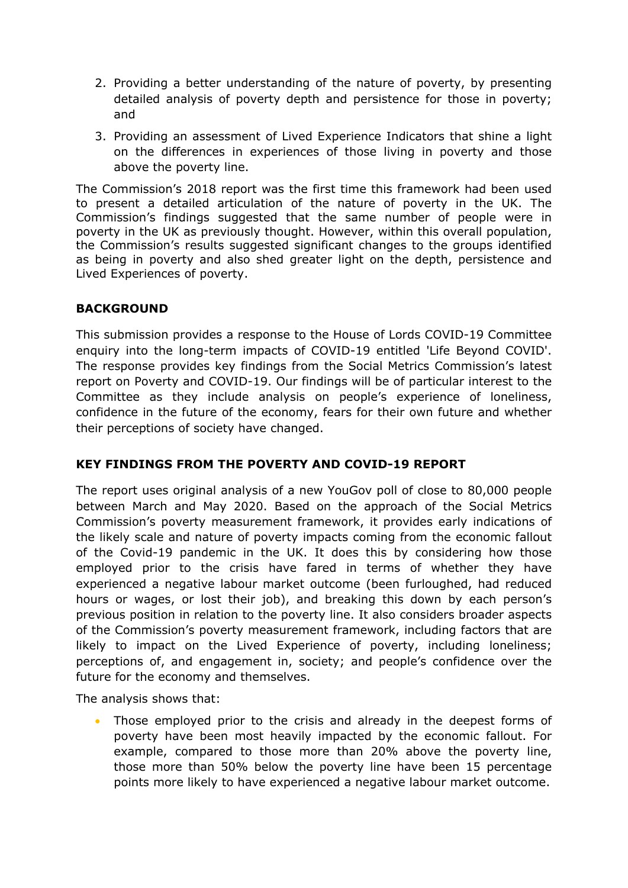- 2. Providing a better understanding of the nature of poverty, by presenting detailed analysis of poverty depth and persistence for those in poverty; and
- 3. Providing an assessment of Lived Experience Indicators that shine a light on the differences in experiences of those living in poverty and those above the poverty line.

The Commission's 2018 report was the first time this framework had been used to present a detailed articulation of the nature of poverty in the UK. The Commission's findings suggested that the same number of people were in poverty in the UK as previously thought. However, within this overall population, the Commission's results suggested significant changes to the groups identified as being in poverty and also shed greater light on the depth, persistence and Lived Experiences of poverty.

#### **BACKGROUND**

This submission provides a response to the House of Lords COVID-19 Committee enquiry into the long-term impacts of COVID-19 entitled 'Life Beyond COVID'. The response provides key findings from the Social Metrics Commission's latest report on Poverty and COVID-19. Our findings will be of particular interest to the Committee as they include analysis on people's experience of loneliness, confidence in the future of the economy, fears for their own future and whether their perceptions of society have changed.

# **KEY FINDINGS FROM THE POVERTY AND COVID-19 REPORT**

The report uses original analysis of a new YouGov poll of close to 80,000 people between March and May 2020. Based on the approach of the Social Metrics Commission's poverty measurement framework, it provides early indications of the likely scale and nature of poverty impacts coming from the economic fallout of the Covid-19 pandemic in the UK. It does this by considering how those employed prior to the crisis have fared in terms of whether they have experienced a negative labour market outcome (been furloughed, had reduced hours or wages, or lost their job), and breaking this down by each person's previous position in relation to the poverty line. It also considers broader aspects of the Commission's poverty measurement framework, including factors that are likely to impact on the Lived Experience of poverty, including loneliness; perceptions of, and engagement in, society; and people's confidence over the future for the economy and themselves.

The analysis shows that:

 Those employed prior to the crisis and already in the deepest forms of poverty have been most heavily impacted by the economic fallout. For example, compared to those more than 20% above the poverty line, those more than 50% below the poverty line have been 15 percentage points more likely to have experienced a negative labour market outcome.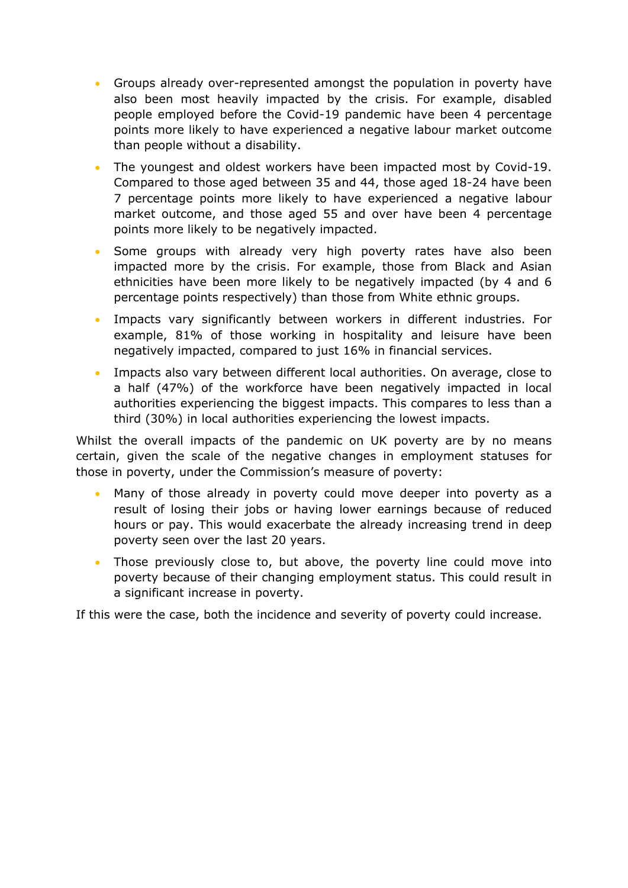- Groups already over-represented amongst the population in poverty have also been most heavily impacted by the crisis. For example, disabled people employed before the Covid-19 pandemic have been 4 percentage points more likely to have experienced a negative labour market outcome than people without a disability.
- The youngest and oldest workers have been impacted most by Covid-19. Compared to those aged between 35 and 44, those aged 18-24 have been 7 percentage points more likely to have experienced a negative labour market outcome, and those aged 55 and over have been 4 percentage points more likely to be negatively impacted.
- Some groups with already very high poverty rates have also been impacted more by the crisis. For example, those from Black and Asian ethnicities have been more likely to be negatively impacted (by 4 and 6 percentage points respectively) than those from White ethnic groups.
- Impacts vary significantly between workers in different industries. For example, 81% of those working in hospitality and leisure have been negatively impacted, compared to just 16% in financial services.
- Impacts also vary between different local authorities. On average, close to a half (47%) of the workforce have been negatively impacted in local authorities experiencing the biggest impacts. This compares to less than a third (30%) in local authorities experiencing the lowest impacts.

Whilst the overall impacts of the pandemic on UK poverty are by no means certain, given the scale of the negative changes in employment statuses for those in poverty, under the Commission's measure of poverty:

- Many of those already in poverty could move deeper into poverty as a result of losing their jobs or having lower earnings because of reduced hours or pay. This would exacerbate the already increasing trend in deep poverty seen over the last 20 years.
- Those previously close to, but above, the poverty line could move into poverty because of their changing employment status. This could result in a significant increase in poverty.

If this were the case, both the incidence and severity of poverty could increase.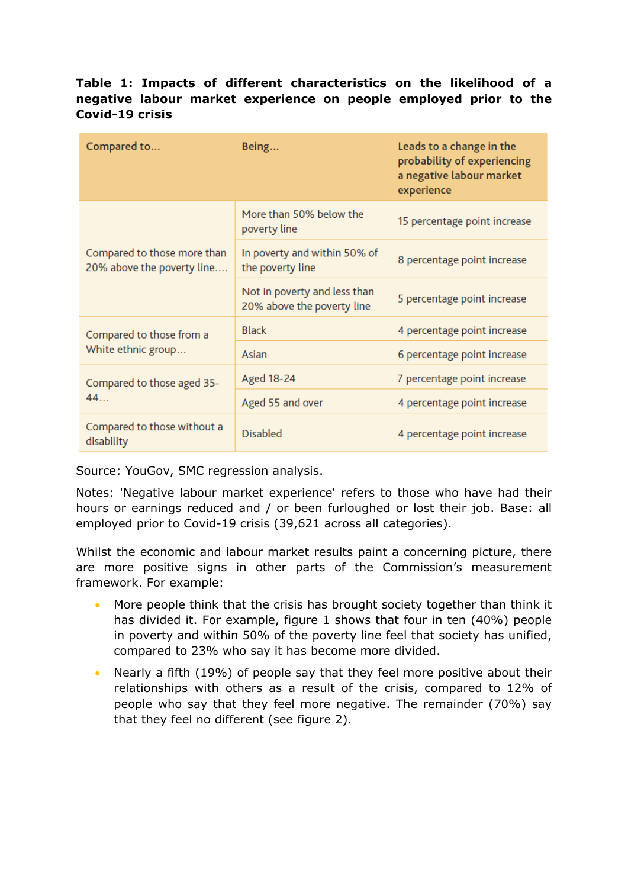### **Table 1: Impacts of different characteristics on the likelihood of a negative labour market experience on people employed prior to the Covid-19 crisis**

| Compared to                                               | Being                                                      | Leads to a change in the<br>probability of experiencing<br>a negative labour market<br>experience |
|-----------------------------------------------------------|------------------------------------------------------------|---------------------------------------------------------------------------------------------------|
| Compared to those more than<br>20% above the poverty line | More than 50% below the<br>poverty line                    | 15 percentage point increase                                                                      |
|                                                           | In poverty and within 50% of<br>the poverty line           | 8 percentage point increase                                                                       |
|                                                           | Not in poverty and less than<br>20% above the poverty line | 5 percentage point increase                                                                       |
| Compared to those from a<br>White ethnic group            | <b>Black</b>                                               | 4 percentage point increase                                                                       |
|                                                           | Asian                                                      | 6 percentage point increase                                                                       |
| Compared to those aged 35-<br>44                          | Aged 18-24                                                 | 7 percentage point increase                                                                       |
|                                                           | Aged 55 and over                                           | 4 percentage point increase                                                                       |
| Compared to those without a<br>disability                 | <b>Disabled</b>                                            | 4 percentage point increase                                                                       |

Source: YouGov, SMC regression analysis.

Notes: 'Negative labour market experience' refers to those who have had their hours or earnings reduced and / or been furloughed or lost their job. Base: all employed prior to Covid-19 crisis (39,621 across all categories).

Whilst the economic and labour market results paint a concerning picture, there are more positive signs in other parts of the Commission's measurement framework. For example:

- More people think that the crisis has brought society together than think it has divided it. For example, figure 1 shows that four in ten (40%) people in poverty and within 50% of the poverty line feel that society has unified, compared to 23% who say it has become more divided.
- Nearly a fifth (19%) of people say that they feel more positive about their relationships with others as a result of the crisis, compared to 12% of people who say that they feel more negative. The remainder (70%) say that they feel no different (see figure 2).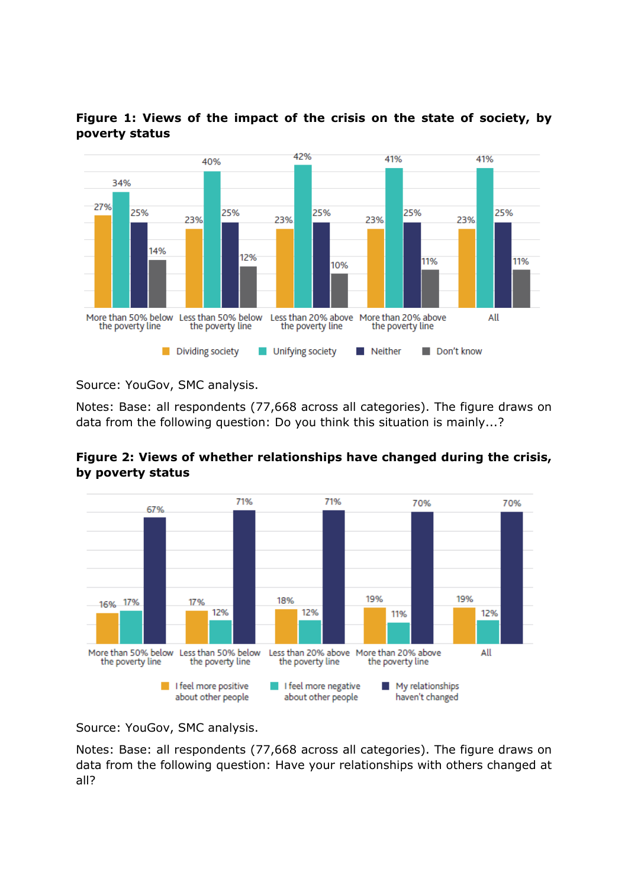



Source: YouGov, SMC analysis.

Notes: Base: all respondents (77,668 across all categories). The figure draws on data from the following question: Do you think this situation is mainly...?





Source: YouGov, SMC analysis.

Notes: Base: all respondents (77,668 across all categories). The figure draws on data from the following question: Have your relationships with others changed at all?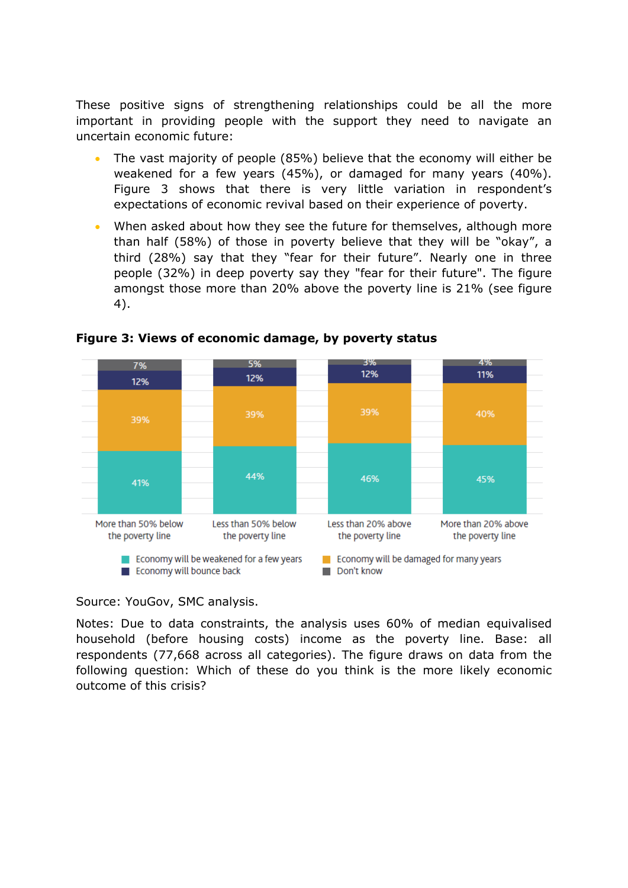These positive signs of strengthening relationships could be all the more important in providing people with the support they need to navigate an uncertain economic future:

- The vast majority of people (85%) believe that the economy will either be weakened for a few years (45%), or damaged for many years (40%). Figure 3 shows that there is very little variation in respondent's expectations of economic revival based on their experience of poverty.
- When asked about how they see the future for themselves, although more than half (58%) of those in poverty believe that they will be "okay", a third (28%) say that they "fear for their future". Nearly one in three people (32%) in deep poverty say they "fear for their future". The figure amongst those more than 20% above the poverty line is 21% (see figure 4).



**Figure 3: Views of economic damage, by poverty status**

Source: YouGov, SMC analysis.

Notes: Due to data constraints, the analysis uses 60% of median equivalised household (before housing costs) income as the poverty line. Base: all respondents (77,668 across all categories). The figure draws on data from the following question: Which of these do you think is the more likely economic outcome of this crisis?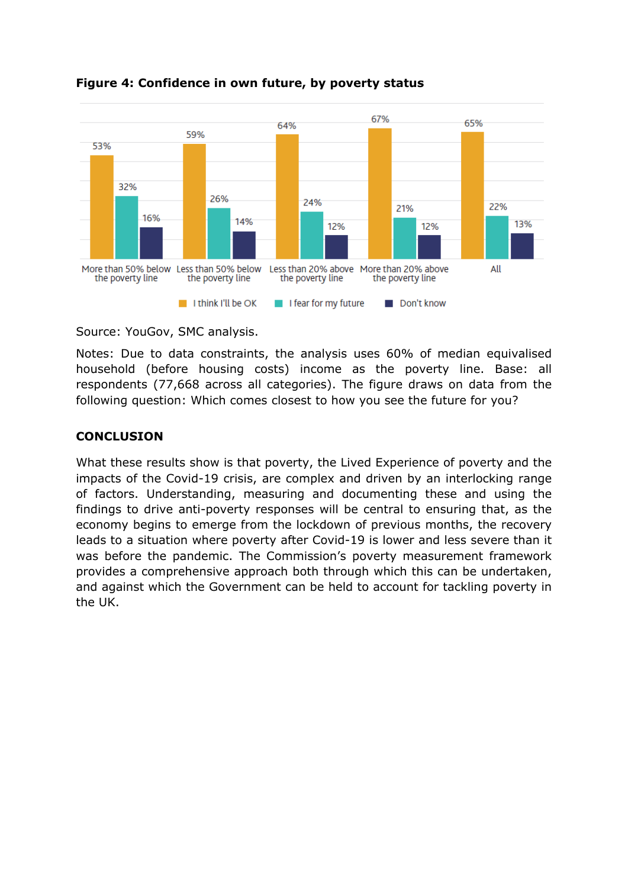

#### **Figure 4: Confidence in own future, by poverty status**

Source: YouGov, SMC analysis.

Notes: Due to data constraints, the analysis uses 60% of median equivalised household (before housing costs) income as the poverty line. Base: all respondents (77,668 across all categories). The figure draws on data from the following question: Which comes closest to how you see the future for you?

#### **CONCLUSION**

What these results show is that poverty, the Lived Experience of poverty and the impacts of the Covid-19 crisis, are complex and driven by an interlocking range of factors. Understanding, measuring and documenting these and using the findings to drive anti-poverty responses will be central to ensuring that, as the economy begins to emerge from the lockdown of previous months, the recovery leads to a situation where poverty after Covid-19 is lower and less severe than it was before the pandemic. The Commission's poverty measurement framework provides a comprehensive approach both through which this can be undertaken, and against which the Government can be held to account for tackling poverty in the UK.